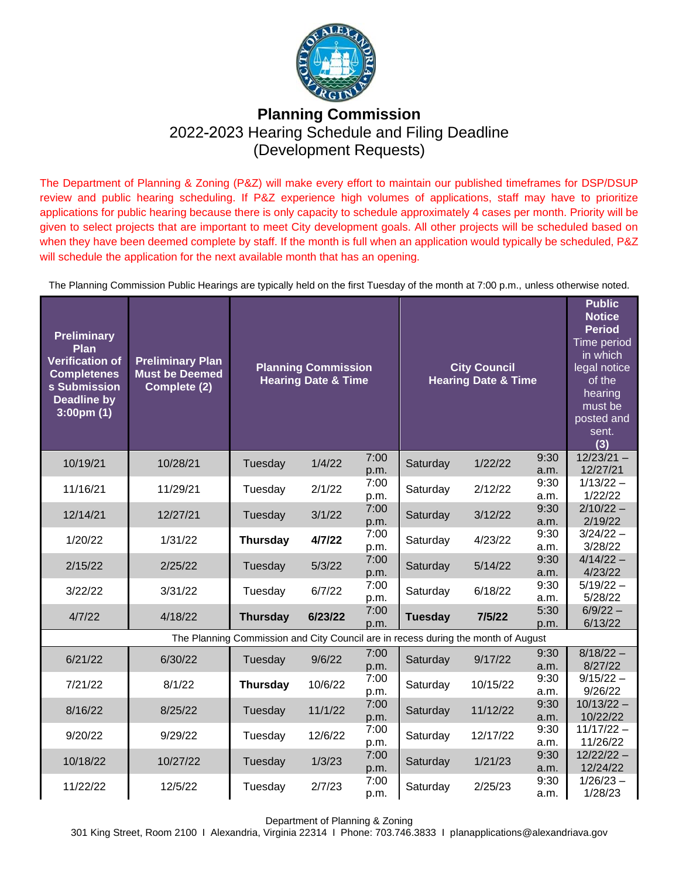

## **Planning Commission**  2022-2023 Hearing Schedule and Filing Deadline (Development Requests)

The Department of Planning & Zoning (P&Z) will make every effort to maintain our published timeframes for DSP/DSUP review and public hearing scheduling. If P&Z experience high volumes of applications, staff may have to prioritize applications for public hearing because there is only capacity to schedule approximately 4 cases per month. Priority will be given to select projects that are important to meet City development goals. All other projects will be scheduled based on when they have been deemed complete by staff. If the month is full when an application would typically be scheduled, P&Z will schedule the application for the next available month that has an opening.

The Planning Commission Public Hearings are typically held on the first Tuesday of the month at 7:00 p.m., unless otherwise noted.

| <b>Preliminary</b><br>Plan<br>Verification of<br><b>Completenes</b><br>s Submission<br><b>Deadline by</b><br>$3:00 \text{pm} (1)$ | <b>Preliminary Plan</b><br><b>Must be Deemed</b><br>Complete (2)                  | <b>Planning Commission</b><br><b>Hearing Date &amp; Time</b> |         |              | <b>City Council</b><br><b>Hearing Date &amp; Time</b> |          |              | <b>Public</b><br><b>Notice</b><br><b>Period</b><br>Time period<br>in which<br>legal notice<br>of the<br>hearing<br>must be<br>posted and<br>sent.<br>(3) |  |  |  |
|-----------------------------------------------------------------------------------------------------------------------------------|-----------------------------------------------------------------------------------|--------------------------------------------------------------|---------|--------------|-------------------------------------------------------|----------|--------------|----------------------------------------------------------------------------------------------------------------------------------------------------------|--|--|--|
| 10/19/21                                                                                                                          | 10/28/21                                                                          | Tuesday                                                      | 1/4/22  | 7:00<br>p.m. | Saturday                                              | 1/22/22  | 9:30<br>a.m. | $12/23/21 -$<br>12/27/21                                                                                                                                 |  |  |  |
| 11/16/21                                                                                                                          | 11/29/21                                                                          | Tuesday                                                      | 2/1/22  | 7:00<br>p.m. | Saturday                                              | 2/12/22  | 9:30<br>a.m. | $1/13/22 -$<br>1/22/22                                                                                                                                   |  |  |  |
| 12/14/21                                                                                                                          | 12/27/21                                                                          | Tuesday                                                      | 3/1/22  | 7:00<br>p.m. | Saturday                                              | 3/12/22  | 9:30<br>a.m. | $2/10/22 -$<br>2/19/22                                                                                                                                   |  |  |  |
| 1/20/22                                                                                                                           | 1/31/22                                                                           | <b>Thursday</b>                                              | 4/7/22  | 7:00<br>p.m. | Saturday                                              | 4/23/22  | 9:30<br>a.m. | $3/24/22 -$<br>3/28/22                                                                                                                                   |  |  |  |
| 2/15/22                                                                                                                           | 2/25/22                                                                           | Tuesday                                                      | 5/3/22  | 7:00<br>p.m. | Saturday                                              | 5/14/22  | 9:30<br>a.m. | $4/14/22 -$<br>4/23/22                                                                                                                                   |  |  |  |
| 3/22/22                                                                                                                           | 3/31/22                                                                           | Tuesday                                                      | 6/7/22  | 7:00<br>p.m. | Saturday                                              | 6/18/22  | 9:30<br>a.m. | $5/19/22 -$<br>5/28/22                                                                                                                                   |  |  |  |
| 4/7/22                                                                                                                            | 4/18/22                                                                           | <b>Thursday</b>                                              | 6/23/22 | 7:00<br>p.m. | <b>Tuesday</b>                                        | 7/5/22   | 5:30<br>p.m. | $6/9/22 -$<br>6/13/22                                                                                                                                    |  |  |  |
|                                                                                                                                   | The Planning Commission and City Council are in recess during the month of August |                                                              |         |              |                                                       |          |              |                                                                                                                                                          |  |  |  |
| 6/21/22                                                                                                                           | 6/30/22                                                                           | Tuesday                                                      | 9/6/22  | 7:00<br>p.m. | Saturday                                              | 9/17/22  | 9:30<br>a.m. | $8/18/22 -$<br>8/27/22                                                                                                                                   |  |  |  |
| 7/21/22                                                                                                                           | 8/1/22                                                                            | <b>Thursday</b>                                              | 10/6/22 | 7:00<br>p.m. | Saturday                                              | 10/15/22 | 9:30<br>a.m. | $9/15/22 -$<br>9/26/22                                                                                                                                   |  |  |  |
| 8/16/22                                                                                                                           | 8/25/22                                                                           | Tuesday                                                      | 11/1/22 | 7:00<br>p.m. | Saturday                                              | 11/12/22 | 9:30<br>a.m. | $10/13/22 -$<br>10/22/22                                                                                                                                 |  |  |  |
| 9/20/22                                                                                                                           | 9/29/22                                                                           | Tuesday                                                      | 12/6/22 | 7:00<br>p.m. | Saturday                                              | 12/17/22 | 9:30<br>a.m. | $11/17/22 -$<br>11/26/22                                                                                                                                 |  |  |  |
| 10/18/22                                                                                                                          | 10/27/22                                                                          | Tuesday                                                      | 1/3/23  | 7:00<br>p.m. | Saturday                                              | 1/21/23  | 9:30<br>a.m. | $12/22/22 -$<br>12/24/22                                                                                                                                 |  |  |  |
| 11/22/22                                                                                                                          | 12/5/22                                                                           | Tuesday                                                      | 2/7/23  | 7:00<br>p.m. | Saturday                                              | 2/25/23  | 9:30<br>a.m. | $1/26/23 -$<br>1/28/23                                                                                                                                   |  |  |  |

Department of Planning & Zoning

301 King Street, Room 2100 I Alexandria, Virginia 22314 I Phone: 703.746.3833 I planapplications@alexandriava.gov